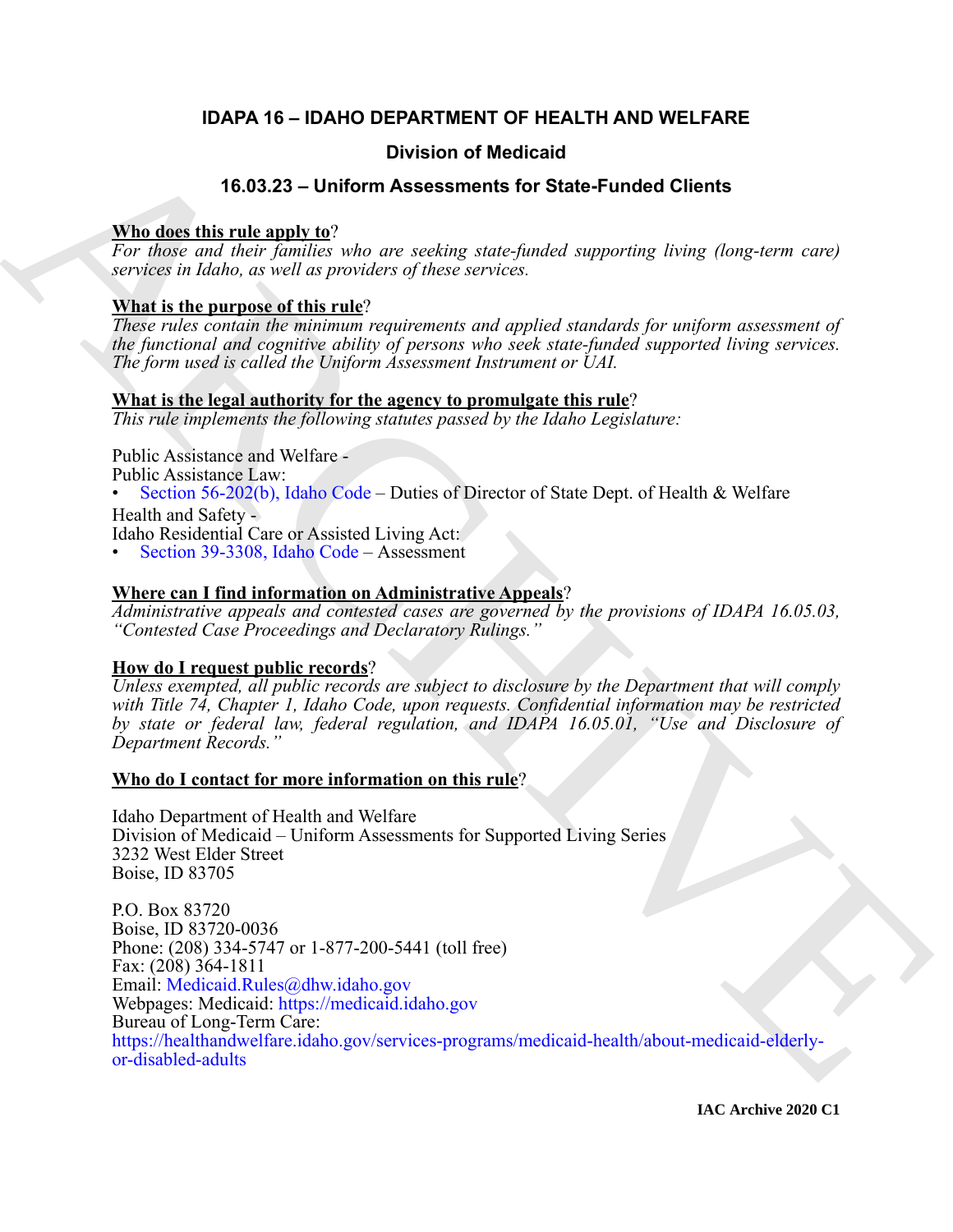# **IDAPA 16 – IDAHO DEPARTMENT OF HEALTH AND WELFARE**

# **Division of Medicaid**

# **16.03.23 – Uniform Assessments for State-Funded Clients**

# **Who does this rule apply to**?

*For those and their families who are seeking state-funded supporting living (long-term care) services in Idaho, as well as providers of these services.*

# **What is the purpose of this rule**?

*These rules contain the minimum requirements and applied standards for uniform assessment of the functional and cognitive ability of persons who seek state-funded supported living services. The form used is called the Uniform Assessment Instrument or UAI.*

## **What is the legal authority for the agency to promulgate this rule**?

*This rule implements the following statutes passed by the Idaho Legislature:*

Public Assistance and Welfare -

Public Assistance Law:

• Section 56-202(b), Idaho Code – Duties of Director of State Dept. of Health & Welfare Health and Safety -

Idaho Residential Care or Assisted Living Act:

• Section 39-3308, Idaho Code – Assessment

# **Where can I find information on Administrative Appeals**?

*Administrative appeals and contested cases are governed by the provisions of IDAPA 16.05.03, "Contested Case Proceedings and Declaratory Rulings."*

# **How do I request public records**?

*Unless exempted, all public records are subject to disclosure by the Department that will comply with Title 74, Chapter 1, Idaho Code, upon requests. Confidential information may be restricted by state or federal law, federal regulation, and IDAPA 16.05.01, "Use and Disclosure of Department Records."*

## **Who do I contact for more information on this rule**?

Idaho Department of Health and Welfare Division of Medicaid – Uniform Assessments for Supported Living Series 3232 West Elder Street Boise, ID 83705

**16.03.23** – Uniform of Medicaid<br>
16.03.23 – Uniform Assessments for State-Funderd Dients<br>
The description of the properties and the corrections and appearing heating distinguished appearing the services of delay to the p P.O. Box 83720 Boise, ID 83720-0036 Phone: (208) 334-5747 or 1-877-200-5441 (toll free) Fax: (208) 364-1811 Email: Medicaid.Rules@dhw.idaho.gov Webpages: Medicaid: https://medicaid.idaho.gov Bureau of Long-Term Care: https://healthandwelfare.idaho.gov/services-programs/medicaid-health/about-medicaid-elderlyor-disabled-adults

**IAC Archive 2020 C1**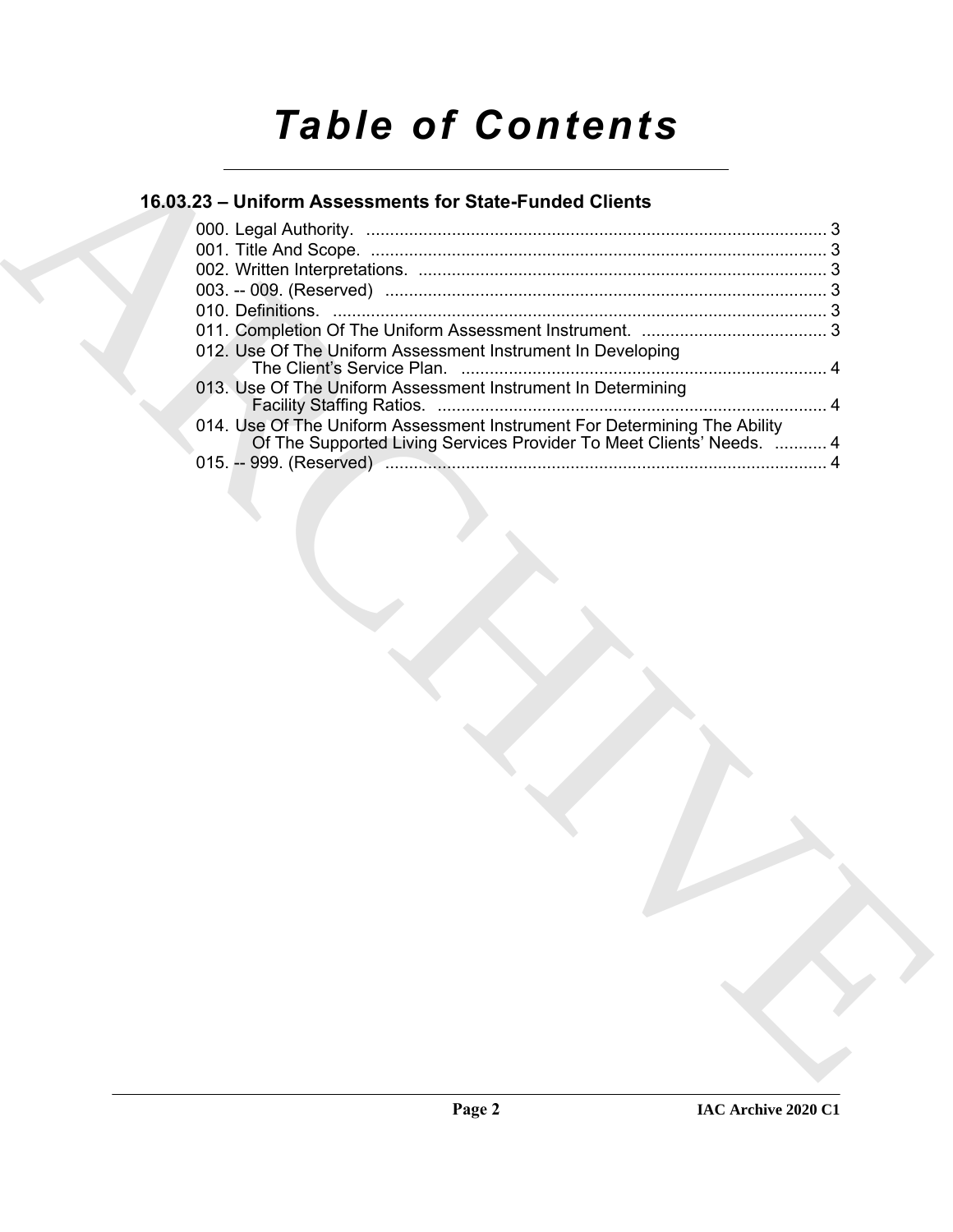# *Table of Contents*

# **16.03.23 – Uniform Assessments for State-Funded Clients**

| 012. Use Of The Uniform Assessment Instrument In Developing                                                                                       |
|---------------------------------------------------------------------------------------------------------------------------------------------------|
| 013. Use Of The Uniform Assessment Instrument In Determining                                                                                      |
| 014. Use Of The Uniform Assessment Instrument For Determining The Ability<br>Of The Supported Living Services Provider To Meet Clients' Needs.  4 |
|                                                                                                                                                   |
|                                                                                                                                                   |
|                                                                                                                                                   |
|                                                                                                                                                   |
|                                                                                                                                                   |
|                                                                                                                                                   |
|                                                                                                                                                   |
|                                                                                                                                                   |
|                                                                                                                                                   |
|                                                                                                                                                   |
|                                                                                                                                                   |
|                                                                                                                                                   |
|                                                                                                                                                   |
|                                                                                                                                                   |
|                                                                                                                                                   |
|                                                                                                                                                   |
|                                                                                                                                                   |
|                                                                                                                                                   |
|                                                                                                                                                   |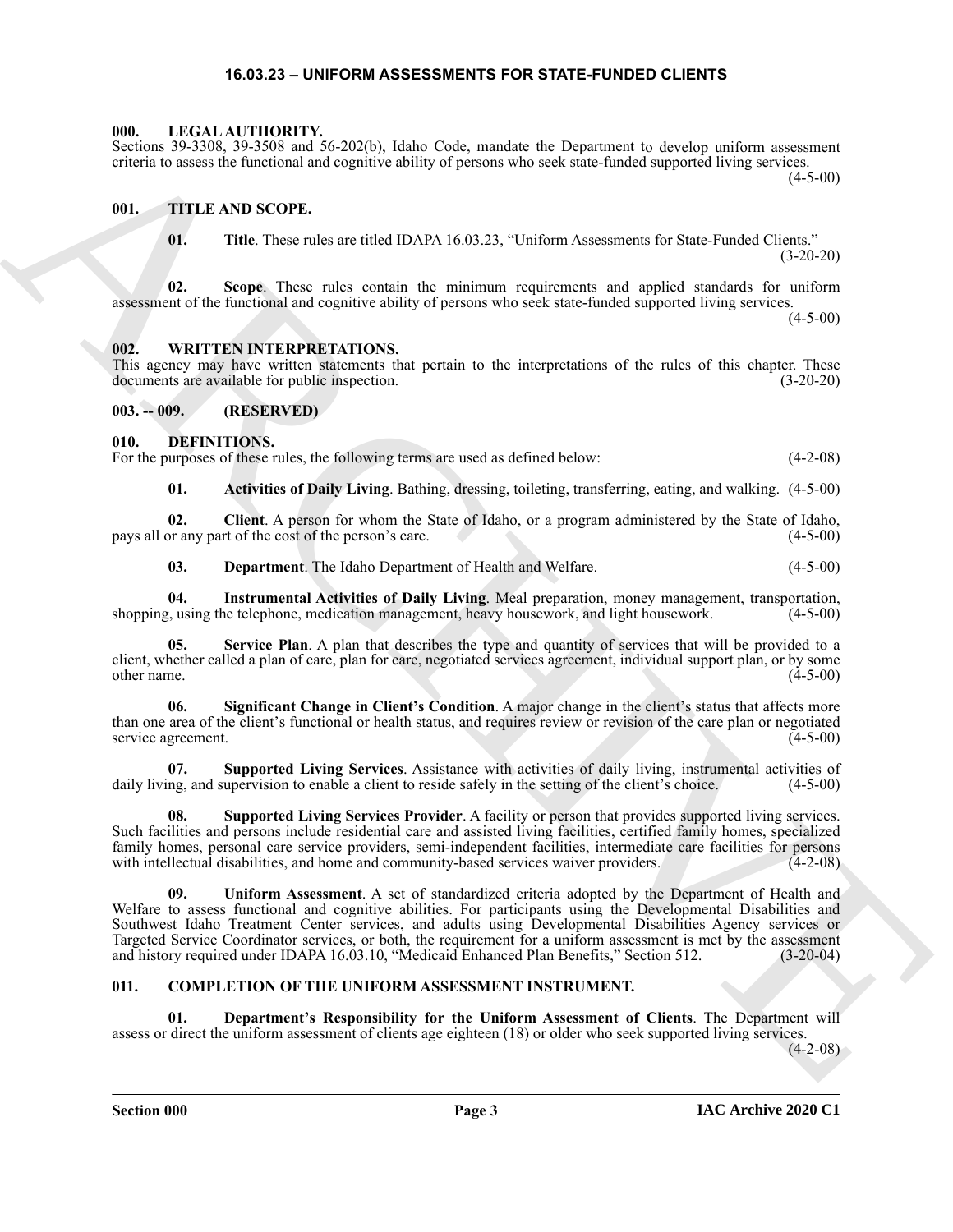### **16.03.23 – UNIFORM ASSESSMENTS FOR STATE-FUNDED CLIENTS**

#### <span id="page-2-19"></span><span id="page-2-1"></span><span id="page-2-0"></span>**000. LEGAL AUTHORITY.**

#### Sections 39-3308, 39-3508 and 56-202(b), Idaho Code, mandate the Department to develop uniform assessment criteria to assess the functional and cognitive ability of persons who seek state-funded supported living services.

(4-5-00)

#### <span id="page-2-2"></span>**001. TITLE AND SCOPE.**

<span id="page-2-20"></span>**01. Title**. These rules are titled IDAPA 16.03.23, "Uniform Assessments for State-Funded Clients." (3-20-20)

**02. Scope**. These rules contain the minimum requirements and applied standards for uniform assessment of the functional and cognitive ability of persons who seek state-funded supported living services.

 $(4-5-00)$ 

#### <span id="page-2-21"></span><span id="page-2-3"></span>**002. WRITTEN INTERPRETATIONS.**

This agency may have written statements that pertain to the interpretations of the rules of this chapter. These documents are available for public inspection. (3-20-20)

<span id="page-2-4"></span>**003. -- 009. (RESERVED)**

#### <span id="page-2-9"></span><span id="page-2-5"></span>**010. DEFINITIONS.**

For the purposes of these rules, the following terms are used as defined below:  $(4-2-08)$ 

<span id="page-2-11"></span><span id="page-2-10"></span>**01. Activities of Daily Living**. Bathing, dressing, toileting, transferring, eating, and walking. (4-5-00)

**02. Client**. A person for whom the State of Idaho, or a program administered by the State of Idaho, pays all or any part of the cost of the person's care. (4-5-00)

<span id="page-2-14"></span><span id="page-2-13"></span><span id="page-2-12"></span>**03. Department**. The Idaho Department of Health and Welfare. (4-5-00)

**04. Instrumental Activities of Daily Living**. Meal preparation, money management, transportation, shopping, using the telephone, medication management, heavy housework, and light housework.

**05. Service Plan**. A plan that describes the type and quantity of services that will be provided to a client, whether called a plan of care, plan for care, negotiated services agreement, individual support plan, or by some  $\phi$  other name. (4-5-00)

<span id="page-2-15"></span>**06. Significant Change in Client's Condition**. A major change in the client's status that affects more than one area of the client's functional or health status, and requires review or revision of the care plan or negotiated service agreement. (4-5-00)

<span id="page-2-16"></span>**07. Supported Living Services**. Assistance with activities of daily living, instrumental activities of ng, and supervision to enable a client to reside safely in the setting of the client's choice. (4-5-00) daily living, and supervision to enable a client to reside safely in the setting of the client's choice.

<span id="page-2-18"></span><span id="page-2-17"></span>**Supported Living Services Provider**. A facility or person that provides supported living services. Such facilities and persons include residential care and assisted living facilities, certified family homes, specialized family homes, personal care service providers, semi-independent facilities, intermediate care facilities for persons with intellectual disabilities, and home and community-based services waiver providers. (4-2-08)

Some 39-2388. Solo and Solo and New York Device Solo and Solo and Solo and Solo and Solo and Solo and Solo and Solo and Solo and Solo and Solo and Solo and Solo and Solo and Solo and Solo and Solo and Solo and Solo and So **09. Uniform Assessment**. A set of standardized criteria adopted by the Department of Health and Welfare to assess functional and cognitive abilities. For participants using the Developmental Disabilities and Southwest Idaho Treatment Center services, and adults using Developmental Disabilities Agency services or Targeted Service Coordinator services, or both, the requirement for a uniform assessment is met by the assessment and history required under IDAPA 16.03.10, "Medicaid Enhanced Plan Benefits," Section 512. (3-20-04)

### <span id="page-2-7"></span><span id="page-2-6"></span>**011. COMPLETION OF THE UNIFORM ASSESSMENT INSTRUMENT.**

<span id="page-2-8"></span>**01. Department's Responsibility for the Uniform Assessment of Clients**. The Department will assess or direct the uniform assessment of clients age eighteen (18) or older who seek supported living services.

(4-2-08)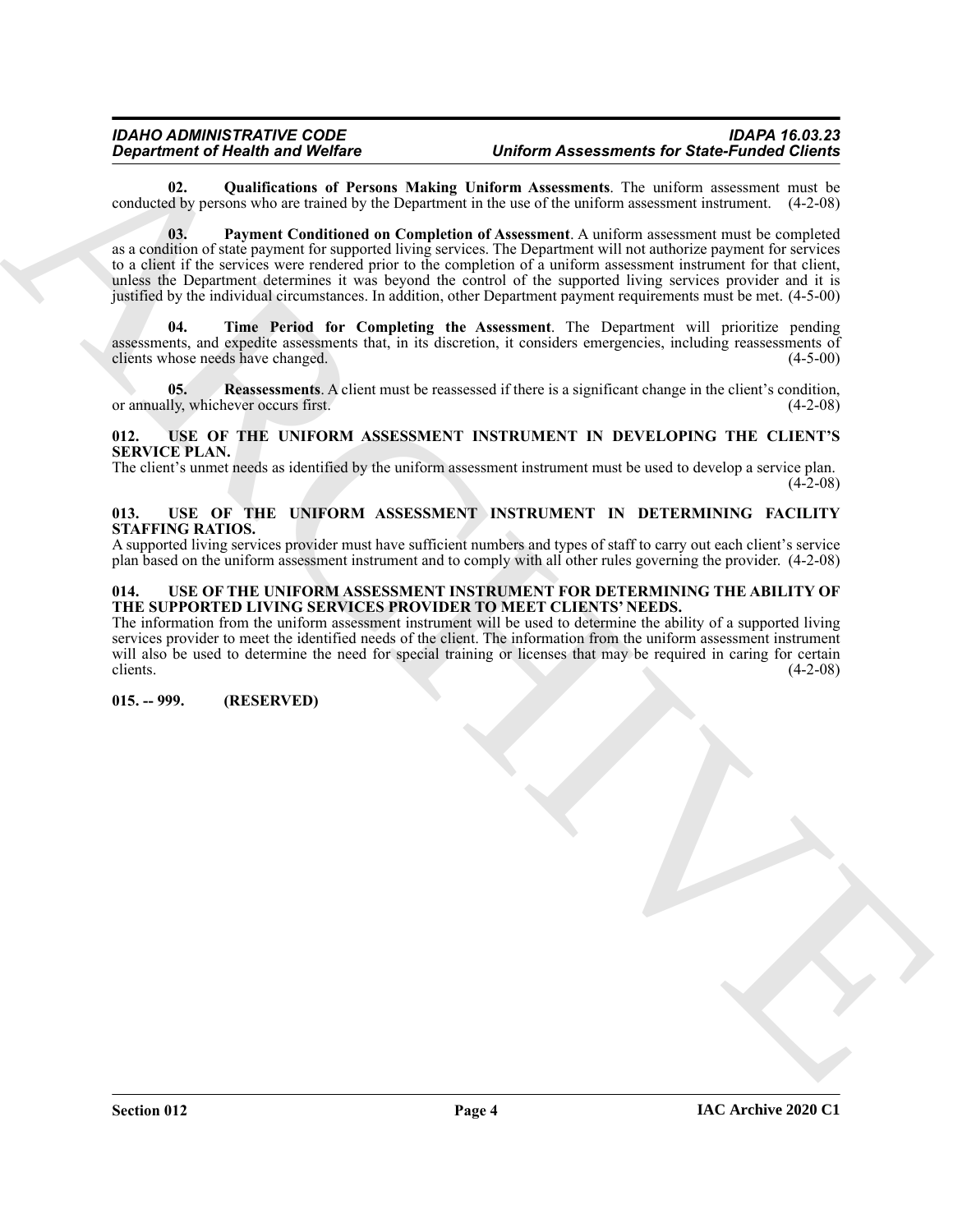#### *IDAHO ADMINISTRATIVE CODE IDAPA 16.03.23 Uniform Assessments for State-Funded Clients*

<span id="page-3-5"></span><span id="page-3-4"></span>**02. Qualifications of Persons Making Uniform Assessments**. The uniform assessment must be conducted by persons who are trained by the Department in the use of the uniform assessment instrument. (4-2-08)

*Department of Health is always been* the *Uniter* and *Uniterral Associations* and *Uniterral Associations* by  $\frac{1}{2}$  and  $\frac{1}{2}$  and  $\frac{1}{2}$  and  $\frac{1}{2}$  and  $\frac{1}{2}$  considering the *Uniterral Associations* by **03. Payment Conditioned on Completion of Assessment**. A uniform assessment must be completed as a condition of state payment for supported living services. The Department will not authorize payment for services to a client if the services were rendered prior to the completion of a uniform assessment instrument for that client, unless the Department determines it was beyond the control of the supported living services provider and it is justified by the individual circumstances. In addition, other Department payment requirements must be met. (4-5-00)

<span id="page-3-7"></span>**04. Time Period for Completing the Assessment**. The Department will prioritize pending assessments, and expedite assessments that, in its discretion, it considers emergencies, including reassessments of clients whose needs have changed. (4-5-00)

<span id="page-3-6"></span>**05. Reassessments**. A client must be reassessed if there is a significant change in the client's condition, or annually, whichever occurs first. (4-2-08)

#### <span id="page-3-10"></span><span id="page-3-0"></span>**012. USE OF THE UNIFORM ASSESSMENT INSTRUMENT IN DEVELOPING THE CLIENT'S SERVICE PLAN.**

The client's unmet needs as identified by the uniform assessment instrument must be used to develop a service plan.  $(4-2-08)$ 

#### <span id="page-3-9"></span><span id="page-3-1"></span>**013. USE OF THE UNIFORM ASSESSMENT INSTRUMENT IN DETERMINING FACILITY STAFFING RATIOS.**

A supported living services provider must have sufficient numbers and types of staff to carry out each client's service plan based on the uniform assessment instrument and to comply with all other rules governing the provider. (4-2-08)

#### <span id="page-3-8"></span><span id="page-3-2"></span>**014. USE OF THE UNIFORM ASSESSMENT INSTRUMENT FOR DETERMINING THE ABILITY OF THE SUPPORTED LIVING SERVICES PROVIDER TO MEET CLIENTS' NEEDS.**

The information from the uniform assessment instrument will be used to determine the ability of a supported living services provider to meet the identified needs of the client. The information from the uniform assessment instrument will also be used to determine the need for special training or licenses that may be required in caring for certain  $(4-2-08)$ 

<span id="page-3-3"></span>**015. -- 999. (RESERVED)**